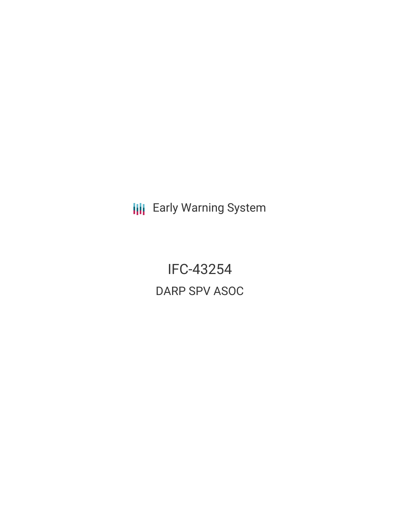**III** Early Warning System

IFC-43254 DARP SPV ASOC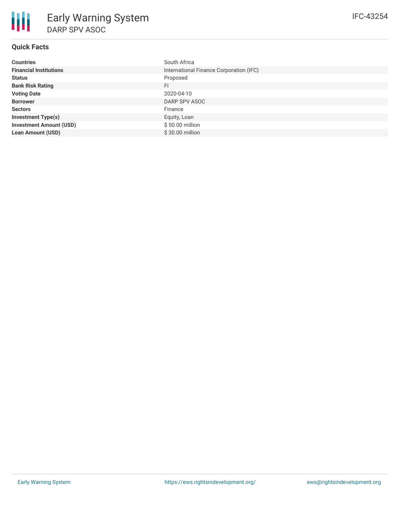# **Quick Facts**

| <b>Countries</b>               | South Africa                            |
|--------------------------------|-----------------------------------------|
| <b>Financial Institutions</b>  | International Finance Corporation (IFC) |
| <b>Status</b>                  | Proposed                                |
| <b>Bank Risk Rating</b>        | <b>FI</b>                               |
| <b>Voting Date</b>             | 2020-04-10                              |
| <b>Borrower</b>                | DARP SPV ASOC                           |
| <b>Sectors</b>                 | Finance                                 |
| <b>Investment Type(s)</b>      | Equity, Loan                            |
| <b>Investment Amount (USD)</b> | $$50.00$ million                        |
| <b>Loan Amount (USD)</b>       | \$30.00 million                         |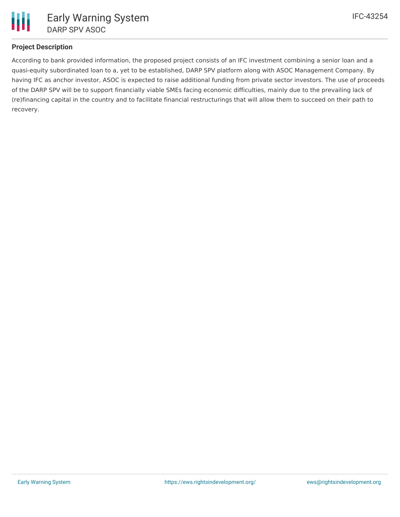

## **Project Description**

According to bank provided information, the proposed project consists of an IFC investment combining a senior loan and a quasi-equity subordinated loan to a, yet to be established, DARP SPV platform along with ASOC Management Company. By having IFC as anchor investor, ASOC is expected to raise additional funding from private sector investors. The use of proceeds of the DARP SPV will be to support financially viable SMEs facing economic difficulties, mainly due to the prevailing lack of (re)financing capital in the country and to facilitate financial restructurings that will allow them to succeed on their path to recovery.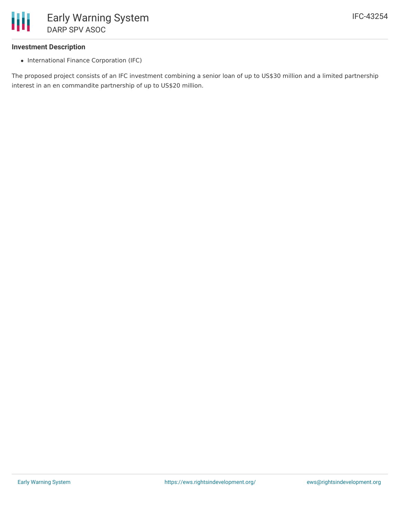

#### **Investment Description**

• International Finance Corporation (IFC)

The proposed project consists of an IFC investment combining a senior loan of up to US\$30 million and a limited partnership interest in an en commandite partnership of up to US\$20 million.